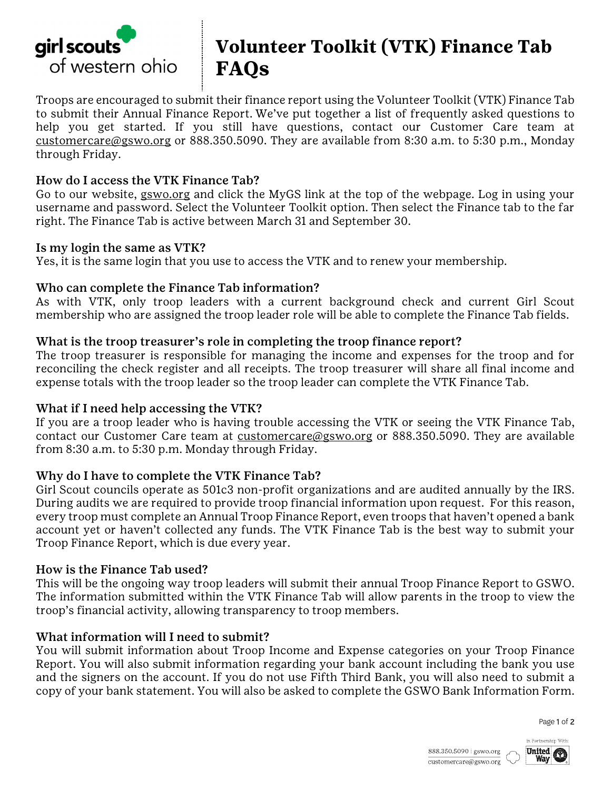

# **Volunteer Toolkit (VTK) Finance Tab FAQs**

Troops are encouraged to submit their finance report using the Volunteer Toolkit (VTK) Finance Tab to submit their Annual Finance Report. We've put together a list of frequently asked questions to help you get started. If you still have questions, contact our Customer Care team at customercare@gswo.org or 888.350.5090. They are available from 8:30 a.m. to 5:30 p.m., Monday through Friday.

### How do I access the VTK Finance Tab?

Go to our website, gswo.org and click the MyGS link at the top of the webpage. Log in using your username and password. Select the Volunteer Toolkit option. Then select the Finance tab to the far right. The Finance Tab is active between March 31 and September 30.

#### Is my login the same as VTK?

Yes, it is the same login that you use to access the VTK and to renew your membership.

#### Who can complete the Finance Tab information?

As with VTK, only troop leaders with a current background check and current Girl Scout membership who are assigned the troop leader role will be able to complete the Finance Tab fields.

#### What is the troop treasurer's role in completing the troop finance report?

The troop treasurer is responsible for managing the income and expenses for the troop and for reconciling the check register and all receipts. The troop treasurer will share all final income and expense totals with the troop leader so the troop leader can complete the VTK Finance Tab.

#### What if I need help accessing the VTK?

If you are a troop leader who is having trouble accessing the VTK or seeing the VTK Finance Tab, contact our Customer Care team at customercare@gswo.org or 888.350.5090. They are available from 8:30 a.m. to 5:30 p.m. Monday through Friday.

#### Why do I have to complete the VTK Finance Tab?

Girl Scout councils operate as 501c3 non-profit organizations and are audited annually by the IRS. During audits we are required to provide troop financial information upon request. For this reason, every troop must complete an Annual Troop Finance Report, even troops that haven't opened a bank account yet or haven't collected any funds. The VTK Finance Tab is the best way to submit your Troop Finance Report, which is due every year.

#### How is the Finance Tab used?

This will be the ongoing way troop leaders will submit their annual Troop Finance Report to GSWO. The information submitted within the VTK Finance Tab will allow parents in the troop to view the troop's financial activity, allowing transparency to troop members.

#### What information will I need to submit?

You will submit information about Troop Income and Expense categories on your Troop Finance Report. You will also submit information regarding your bank account including the bank you use and the signers on the account. If you do not use Fifth Third Bank, you will also need to submit a copy of your bank statement. You will also be asked to complete the GSWO Bank Information Form.

Page 1 of 2